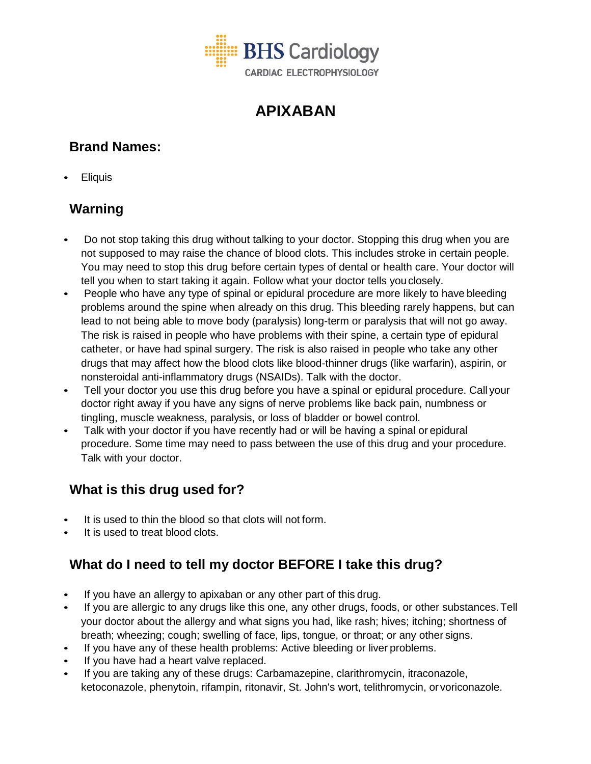

# **APIXABAN**

# **Brand Names:**

• Eliquis

# **Warning**

- Do not stop taking this drug without talking to your doctor. Stopping this drug when you are not supposed to may raise the chance of blood clots. This includes stroke in certain people. You may need to stop this drug before certain types of dental or health care. Your doctor will tell you when to start taking it again. Follow what your doctor tells youclosely.
- People who have any type of spinal or epidural procedure are more likely to have bleeding problems around the spine when already on this drug. This bleeding rarely happens, but can lead to not being able to move body (paralysis) long-term or paralysis that will not go away. The risk is raised in people who have problems with their spine, a certain type of epidural catheter, or have had spinal surgery. The risk is also raised in people who take any other drugs that may affect how the blood clots like blood-thinner drugs (like warfarin), aspirin, or nonsteroidal anti-inflammatory drugs (NSAIDs). Talk with the doctor.
- Tell your doctor you use this drug before you have a spinal or epidural procedure. Call your doctor right away if you have any signs of nerve problems like back pain, numbness or tingling, muscle weakness, paralysis, or loss of bladder or bowel control.
- Talk with your doctor if you have recently had or will be having a spinal or epidural procedure. Some time may need to pass between the use of this drug and your procedure. Talk with your doctor.

## **What is this drug used for?**

- It is used to thin the blood so that clots will not form.
- It is used to treat blood clots.

## **What do I need to tell my doctor BEFORE I take this drug?**

- If you have an allergy to apixaban or any other part of this drug.
- If you are allergic to any drugs like this one, any other drugs, foods, or other substances. Tell your doctor about the allergy and what signs you had, like rash; hives; itching; shortness of breath; wheezing; cough; swelling of face, lips, tongue, or throat; or any other signs.
- If you have any of these health problems: Active bleeding or liver problems.
- If you have had a heart valve replaced.
- If you are taking any of these drugs: Carbamazepine, clarithromycin, itraconazole, ketoconazole, phenytoin, rifampin, ritonavir, St. John's wort, telithromycin, or voriconazole.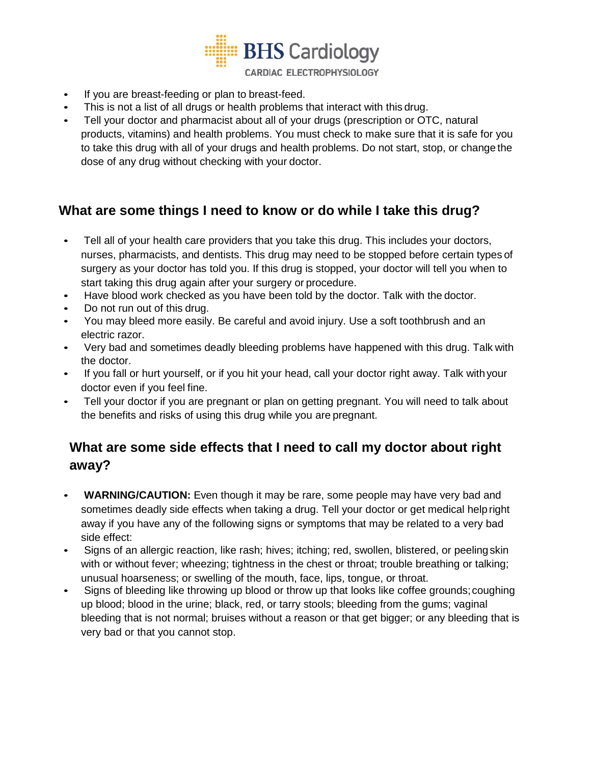**BHS Cardiology** CARDIAC ELECTROPHYSIOLOGY

- If you are breast-feeding or plan to breast-feed.
- This is not a list of all drugs or health problems that interact with this drug.
- Tell your doctor and pharmacist about all of your drugs (prescription or OTC, natural products, vitamins) and health problems. You must check to make sure that it is safe for you to take this drug with all of your drugs and health problems. Do not start, stop, or change the dose of any drug without checking with your doctor.

#### **What are some things I need to know or do while I take this drug?**

- Tell all of your health care providers that you take this drug. This includes your doctors, nurses, pharmacists, and dentists. This drug may need to be stopped before certain types of surgery as your doctor has told you. If this drug is stopped, your doctor will tell you when to start taking this drug again after your surgery or procedure.
- Have blood work checked as you have been told by the doctor. Talk with the doctor.
- Do not run out of this drug.
- You may bleed more easily. Be careful and avoid injury. Use a soft toothbrush and an electric razor.
- Very bad and sometimes deadly bleeding problems have happened with this drug. Talk with the doctor.
- If you fall or hurt yourself, or if you hit your head, call your doctor right away. Talk withyour doctor even if you feel fine.
- Tell your doctor if you are pregnant or plan on getting pregnant. You will need to talk about the benefits and risks of using this drug while you are pregnant.

## **What are some side effects that I need to call my doctor about right away?**

- **WARNING/CAUTION:** Even though it may be rare, some people may have very bad and sometimes deadly side effects when taking a drug. Tell your doctor or get medical help right away if you have any of the following signs or symptoms that may be related to a very bad side effect:
- Signs of an allergic reaction, like rash; hives; itching; red, swollen, blistered, or peeling skin with or without fever; wheezing; tightness in the chest or throat; trouble breathing or talking; unusual hoarseness; or swelling of the mouth, face, lips, tongue, or throat.
- Signs of bleeding like throwing up blood or throw up that looks like coffee grounds;coughing up blood; blood in the urine; black, red, or tarry stools; bleeding from the gums; vaginal bleeding that is not normal; bruises without a reason or that get bigger; or any bleeding that is very bad or that you cannot stop.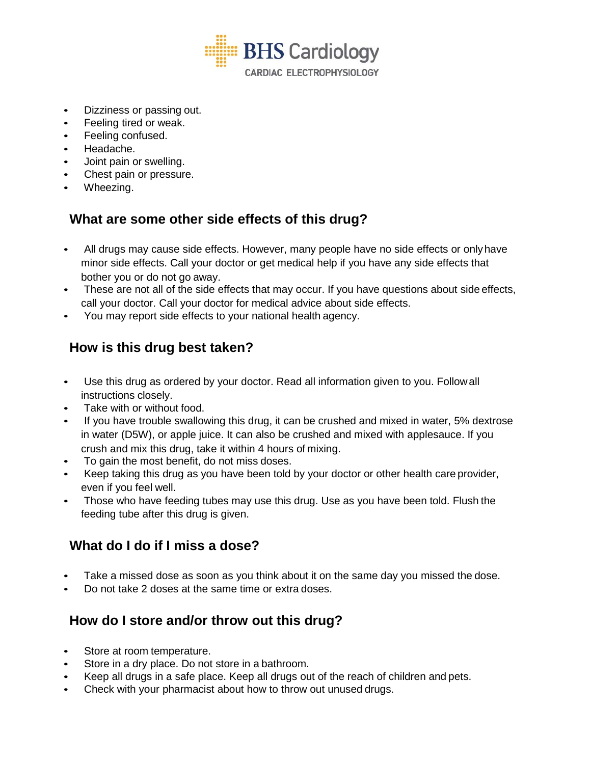

- Dizziness or passing out.
- Feeling tired or weak.
- Feeling confused.
- Headache.
- Joint pain or swelling.
- Chest pain or pressure.
- Wheezing.

#### **What are some other side effects of this drug?**

- All drugs may cause side effects. However, many people have no side effects or onlyhave minor side effects. Call your doctor or get medical help if you have any side effects that bother you or do not go away.
- These are not all of the side effects that may occur. If you have questions about side effects, call your doctor. Call your doctor for medical advice about side effects.
- You may report side effects to your national health agency.

#### **How is this drug best taken?**

- Use this drug as ordered by your doctor. Read all information given to you. Followall instructions closely.
- Take with or without food.
- If you have trouble swallowing this drug, it can be crushed and mixed in water, 5% dextrose in water (D5W), or apple juice. It can also be crushed and mixed with applesauce. If you crush and mix this drug, take it within 4 hours of mixing.
- To gain the most benefit, do not miss doses.
- Keep taking this drug as you have been told by your doctor or other health care provider, even if you feel well.
- Those who have feeding tubes may use this drug. Use as you have been told. Flush the feeding tube after this drug is given.

#### **What do I do if I miss a dose?**

- Take a missed dose as soon as you think about it on the same day you missed the dose.
- Do not take 2 doses at the same time or extra doses.

#### **How do I store and/or throw out this drug?**

- Store at room temperature.
- Store in a dry place. Do not store in a bathroom.
- Keep all drugs in a safe place. Keep all drugs out of the reach of children and pets.
- Check with your pharmacist about how to throw out unused drugs.